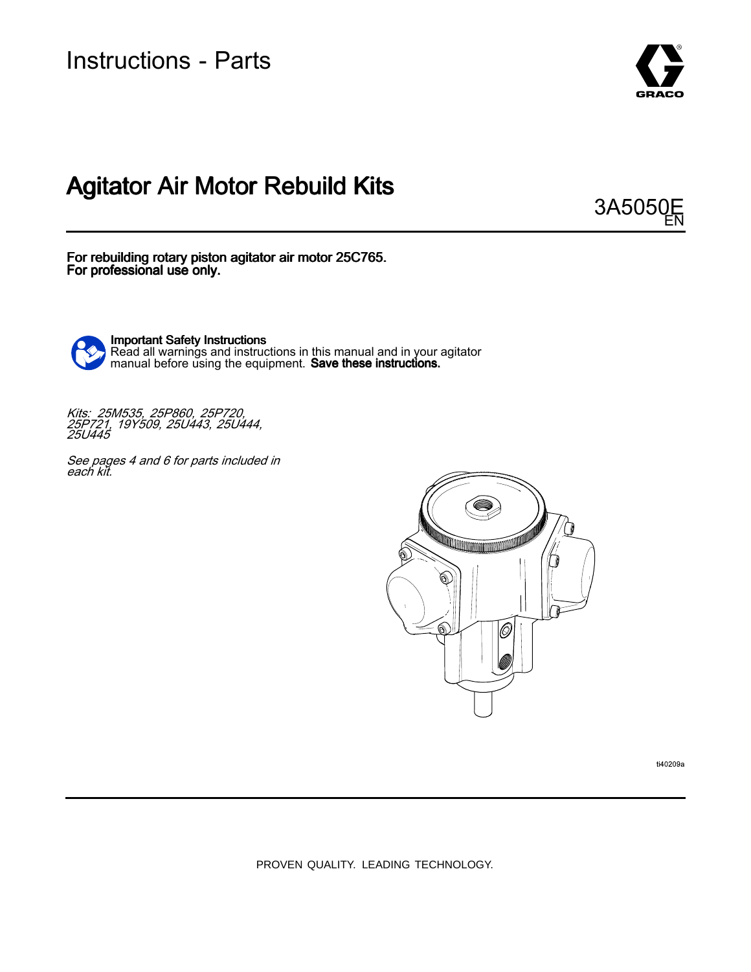Instructions - Parts



# Agitator Air Motor Rebuild Kits

3A505 EN

For rebuilding rotary piston agitator air motor 25C765. For professional use only.



Important Safety Instructions Read all warnings and instructions in this manual and in your agitator<br>manual before using the equipment . **Save these instructions** manual before using the equipment. **Save these instructions**.

Kits: 25M535, 25P860, 25P720,<br>25P721 19Y509 25U443 25U4 25P721, 19Y509, 25U443, 25U444, 25U445

See pages 4 and 6 for parts included in<br>each kit each kit.



ti40209a

PROVEN QUALITY. LEADING TECHNOLOGY.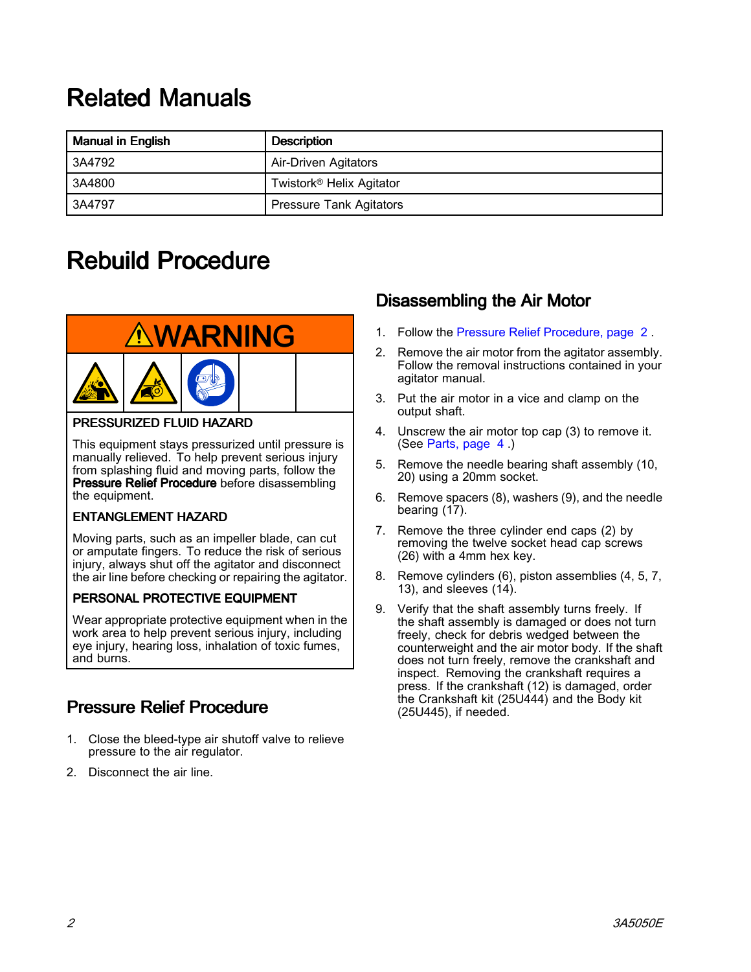# <span id="page-1-0"></span>**Related Manuals**

| <b>Manual in English</b> | <b>Description</b>                   |  |  |  |  |
|--------------------------|--------------------------------------|--|--|--|--|
| 3A4792                   | Air-Driven Agitators                 |  |  |  |  |
| 3A4800                   | Twistork <sup>®</sup> Helix Agitator |  |  |  |  |
| 3A4797                   | <b>Pressure Tank Agitators</b>       |  |  |  |  |

# Rebuild Procedure



#### PRESSURIZED FLUID HAZARD

This equipment stays pressurized until pressure is manually relieved. To help prevent serious injury from splashing fluid and moving parts, follow the Pressure Relief Procedure before disassembling the equipment.

### **ENTANGLEMENT HAZARD**

Moving parts, such as an impeller blade, can cut or amputate fingers. To reduce the risk of serious injury, always shut off the agitator and disconnect the air line before checking or repairing the agitator.

### PERSONAL PROTECTIVE EQUIPMENT

Wear appropriate protective equipment when in the work area to help prevent serious injury, including eye injury, hearing loss, inhalation of toxic fumes, and burns.

### Pressure Relief Procedure

- 1. Close the bleed-type air shutoff valve to relieve pressure to the air regulator.
- 2. Disconnect the air line.

### Disassembling the Air Motor

- 1. Follow the Pressure Relief Procedure, page <sup>2</sup> .
- 2. Remove the air motor from the agitator assembly. Follow the removal instructions contained in your agitator manual.
- 3. Put the air motor in <sup>a</sup> vice and clamp on the output shaft.
- 4. Unscrew the air motor top cap (3) to remove it. (See [Parts,](#page-2-0) page [4](#page-3-0) .)
- 5. Remove the needle bearing shaft assembly (10, 20) using <sup>a</sup> 20mm socket.
- 6. Remove spacers (8), washers (9), and the needle bearing (17).
- 7. Remove the three cylinder end caps (2) by removing the twelve socket head cap screws (26) with <sup>a</sup> 4mm hex key.
- 8. Remove cylinders (6), piston assemblies (4, 5, 7, 13), and sleeves (14).
- 9. Verify that the shaft assembly turns freely. If the shaft assembly is damaged or does not turn freely, check for debris wedged between the counterweight and the air motor body. If the shaft does not turn freely, remove the crankshaft and inspect. Removing the crankshaft requires <sup>a</sup> press. If the crankshaft (12) is damaged, order the Crankshaft kit (25U444) and the Body kit (25U445), if needed.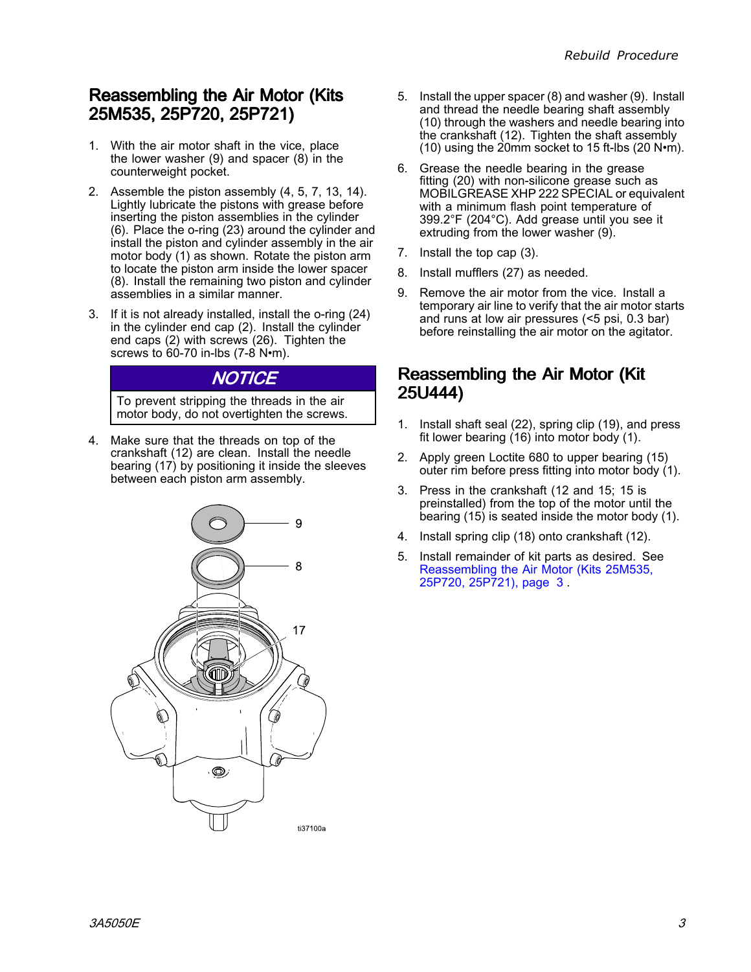### <span id="page-2-0"></span>Reassembling the Air Motor (Kits 25M535, 25M535, 25P720, 25P720, 25P721) 25P721)

- 1. With the air motor shaft in the vice, place the lower washer (9) and spacer (8) in the counterweight pocket.
- 2. Assemble the piston assembly (4, 5, 7, 13, 14). Lightly lubricate the pistons with grease before inserting the piston assemblies in the cylinder (6). Place the o-ring (23) around the cylinder and install the piston and cylinder assembly in the air motor body (1) as shown. Rotate the piston arm to locate the piston arm inside the lower spacer (8). Install the remaining two piston and cylinder assemblies in <sup>a</sup> similar manner.
- 3. If it is not already installed, install the o-ring (24) in the cylinder end cap (2). Install the cylinder end caps (2) with screws (26). Tighten the screws to 60-70 in-lbs (7-8 N·m).

### NOTICE

To prevent stripping the threads in the air motor body, do not overtighten the screws.

- 4. Make sure that the threads on top of the crankshaft (12) are clean. Install the needle bearing (17) by positioning it inside the sleeves between each piston arm assembly.
	- 9 8  $17$ ® ti37100a
- 5. Install the upper spacer (8) and washer (9). Install and thread the needle bearing shaft assembly (10) through the washers and needle bearing into the crankshaft (12). Tighten the shaft assembly (10) using the 20mm socket to <sup>15</sup> ft-lbs (20 N•m).
- 6. Grease the needle bearing in the grease fitting (20) with non-silicone grease such as MOBILGREASE XHP <sup>222</sup> SPECIAL or equivalent with <sup>a</sup> minimum flash point temperature of 399.2°F (204°C). Add grease until you see it extruding from the lower washer (9).
- 7. Install the top cap (3).
- 8. Install mufflers (27) as needed.
- 9. Remove the air motor from the vice. Install <sup>a</sup> temporary air line to verify that the air motor starts and runs at low air pressures (<5 psi, 0.3 bar) before reinstalling the air motor on the agitator.

### Reassembling the Air Motor (Kit 25U444)

- 1. Install shaft seal (22), spring clip (19), and press fit lower bearing (16) into motor body (1).
- 2. Apply green Loctite <sup>680</sup> to upper bearing (15) outer rim before press fitting into motor body (1).
- 3. Press in the crankshaft (12 and 15; <sup>15</sup> is preinstalled) from the top of the motor until the bearing (15) is seated inside the motor body (1).
- 4. Install spring clip (18) onto crankshaft (12).
- 5. Install remainder of kit parts as desired. See Reassembling the Air Motor (Kits 25M535, 25P720, 25P721), page <sup>3</sup> .

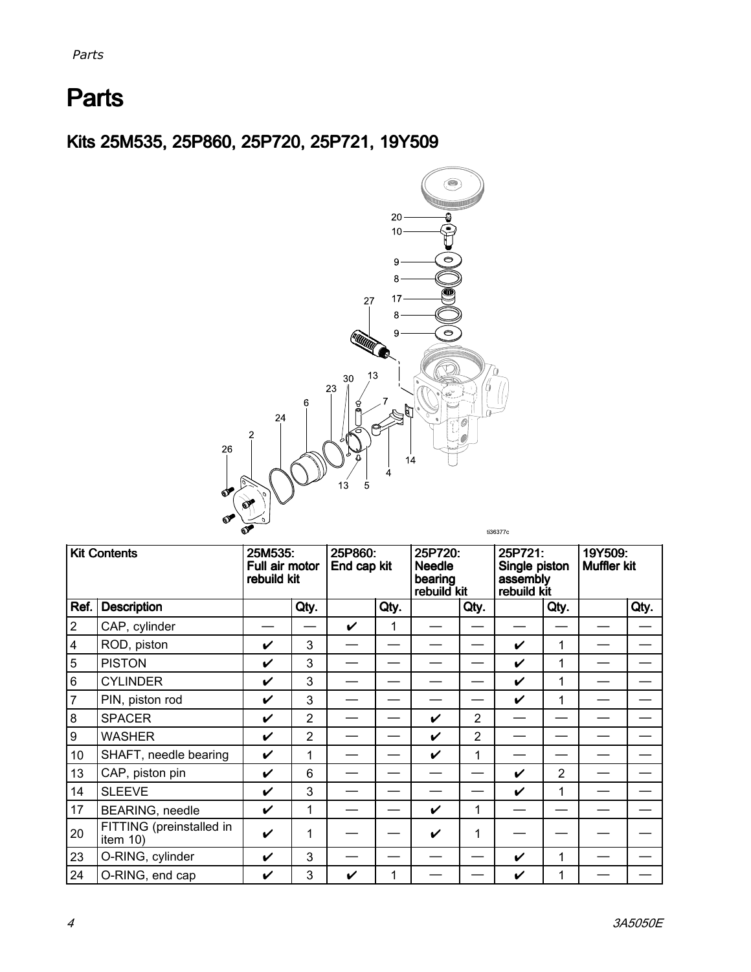# <span id="page-3-0"></span>**Parts**

Kits 25M535, 25P860, 25P720, 25P721, 19Y509



| <b>Kit Contents</b> |                                      | 25M535:<br>Full air motor<br>rebuild kit |                | 25P860:<br>End cap kit |      | 25P720:<br><b>Needle</b><br>bearing<br>rebuild kit |                | 25P721:<br>Single piston<br>assembly<br>rebuild kit |                | 19Y509:<br><b>Muffler kit</b> |      |
|---------------------|--------------------------------------|------------------------------------------|----------------|------------------------|------|----------------------------------------------------|----------------|-----------------------------------------------------|----------------|-------------------------------|------|
| Ref.                | <b>Description</b>                   |                                          | Qty.           |                        | Qty. |                                                    | Qty.           |                                                     | Qty.           |                               | Qty. |
| $\overline{2}$      | CAP, cylinder                        |                                          |                | V                      | 1    |                                                    |                |                                                     |                |                               |      |
| $\overline{4}$      | ROD, piston                          | V                                        | 3              |                        |      |                                                    |                | V                                                   | 1              |                               |      |
| 5                   | <b>PISTON</b>                        | V                                        | 3              |                        |      |                                                    |                | V                                                   | 1              |                               |      |
| $6\phantom{1}$      | <b>CYLINDER</b>                      | $\boldsymbol{\nu}$                       | 3              |                        |      |                                                    |                | V                                                   | 1              |                               |      |
| $\overline{7}$      | PIN, piston rod                      | $\boldsymbol{\nu}$                       | 3              |                        |      |                                                    |                | V                                                   | 1              |                               |      |
| 8                   | <b>SPACER</b>                        | $\checkmark$                             | $\overline{2}$ |                        |      | V                                                  | $\overline{2}$ |                                                     |                |                               |      |
| $\boldsymbol{9}$    | <b>WASHER</b>                        | V                                        | $\overline{2}$ |                        |      | V                                                  | $\overline{2}$ |                                                     |                |                               |      |
| 10 <sup>°</sup>     | SHAFT, needle bearing                | V                                        | 1              |                        |      | V                                                  | 1              |                                                     |                |                               |      |
| 13                  | CAP, piston pin                      | V                                        | 6              |                        |      |                                                    |                | V                                                   | $\overline{2}$ |                               |      |
| 14                  | <b>SLEEVE</b>                        | V                                        | 3              |                        |      |                                                    |                | V                                                   | 1              |                               |      |
| 17                  | BEARING, needle                      | V                                        | $\mathbf{1}$   |                        |      | V                                                  | 1              |                                                     |                |                               |      |
| 20                  | FITTING (preinstalled in<br>item 10) | V                                        | 1              |                        |      | V                                                  | 1              |                                                     |                |                               |      |
| 23                  | O-RING, cylinder                     | V                                        | 3              |                        |      |                                                    |                | V                                                   | 1              |                               |      |
| 24                  | O-RING, end cap                      | ✔                                        | 3              | ✓                      | 1    |                                                    |                | V                                                   | 1              |                               |      |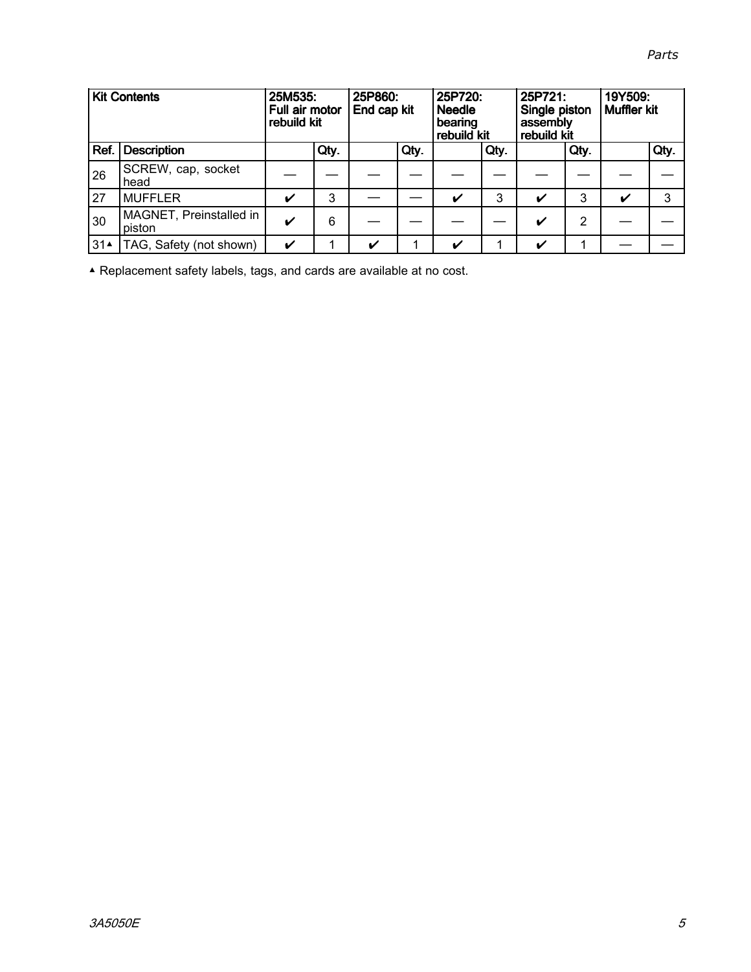|  |  | Parts |
|--|--|-------|
|  |  |       |
|  |  |       |

| <b>Kit Contents</b> |                                   | 25M535:<br>Full air motor<br>rebuild kit |      | 25P860:<br>End cap kit |      | 25P720:<br><b>Needle</b><br>bearing<br>rebuild kit |      | 25P721:<br>Single piston<br>assembly<br>rebuild kit |      | 19Y509:<br><b>Muffler kit</b> |      |
|---------------------|-----------------------------------|------------------------------------------|------|------------------------|------|----------------------------------------------------|------|-----------------------------------------------------|------|-------------------------------|------|
| Ref.                | <b>Description</b>                |                                          | Qty. |                        | Qty. |                                                    | Qty. |                                                     | Qty. |                               | Qty. |
| 26                  | SCREW, cap, socket<br>head        |                                          |      |                        |      |                                                    |      |                                                     |      |                               |      |
| 27                  | <b>MUFFLER</b>                    | $\boldsymbol{\mathcal{U}}$               | 3    |                        |      | $\checkmark$                                       | 3    | ✔                                                   | 3    | $\boldsymbol{\nu}$            | 3    |
| 30                  | MAGNET, Preinstalled in<br>piston | $\boldsymbol{\mathcal{U}}$               | 6    |                        |      |                                                    |      | V                                                   | 2    |                               |      |
| 314                 | TAG, Safety (not shown)           | $\boldsymbol{\mathcal{U}}$               |      | V                      |      | V                                                  |      | V                                                   | 1    |                               |      |

▲ Replacement safety labels, tags, and cards are available at no cost.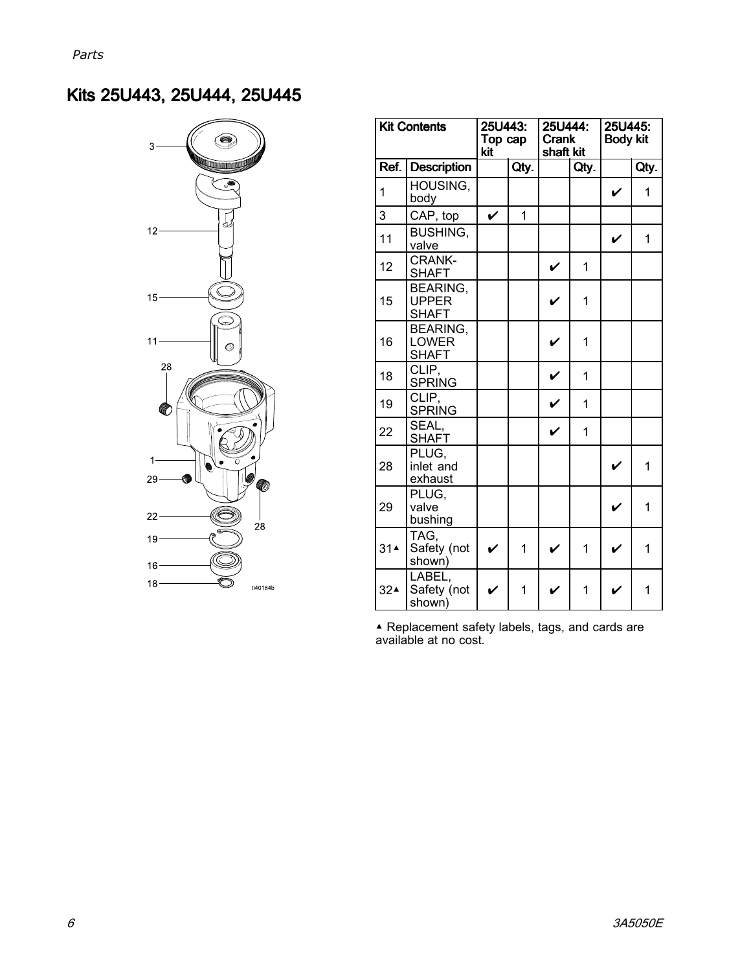## Kits 25U443, 25U444, 25U445



| <b>Kit Contents</b>        |                                                 | 25U443:<br>Top cap<br>kit |                | 25U444:<br><b>Crank</b><br>shaft kit |      | 25U445:<br><b>Body kit</b> |      |  |
|----------------------------|-------------------------------------------------|---------------------------|----------------|--------------------------------------|------|----------------------------|------|--|
| <b>Description</b><br>Ref. |                                                 |                           | Qty.           |                                      | Qty. |                            | Qty. |  |
| 1                          | HOUSING,<br>body                                |                           |                |                                      |      | V                          | 1    |  |
| 3                          | CAP, top                                        | V                         | $\overline{1}$ |                                      |      |                            |      |  |
| 11                         | <b>BUSHING,</b><br>valve                        |                           |                |                                      |      | V                          | 1    |  |
| 12                         | <b>CRANK-</b><br><b>SHAFT</b>                   |                           |                | V                                    | 1    |                            |      |  |
| 15                         | <b>BEARING.</b><br><b>UPPER</b><br><b>SHAFT</b> |                           |                | $\mathbf v$                          | 1    |                            |      |  |
| 16                         | <b>BEARING,</b><br><b>LOWER</b><br><b>SHAFT</b> |                           |                | V                                    | 1    |                            |      |  |
| 18                         | CLIP,<br><b>SPRING</b>                          |                           |                |                                      | 1    |                            |      |  |
| 19                         | CLIP,<br><b>SPRING</b>                          |                           |                |                                      | 1    |                            |      |  |
| 22                         | SEAL,<br><b>SHAFT</b>                           |                           |                | V                                    | 1    |                            |      |  |
| 28                         | PLUG,<br>inlet and<br>exhaust                   |                           |                |                                      |      | V                          | 1    |  |
| 29                         | PLUG.<br>valve<br>bushing                       |                           |                |                                      |      | $\checkmark$               | 1    |  |
| 31 <sup>2</sup>            | TAG.<br>Safety (not<br>shown)                   | V                         | $\mathbf{1}$   |                                      | 1    |                            | 1    |  |
| 32 <sup>2</sup>            | LABEL,<br>Safety (not<br>shown)                 |                           | 1              |                                      | 1    |                            | 1    |  |

▲ Replacement safety labels, tags, and cards are<br>available at no cost available at no cost.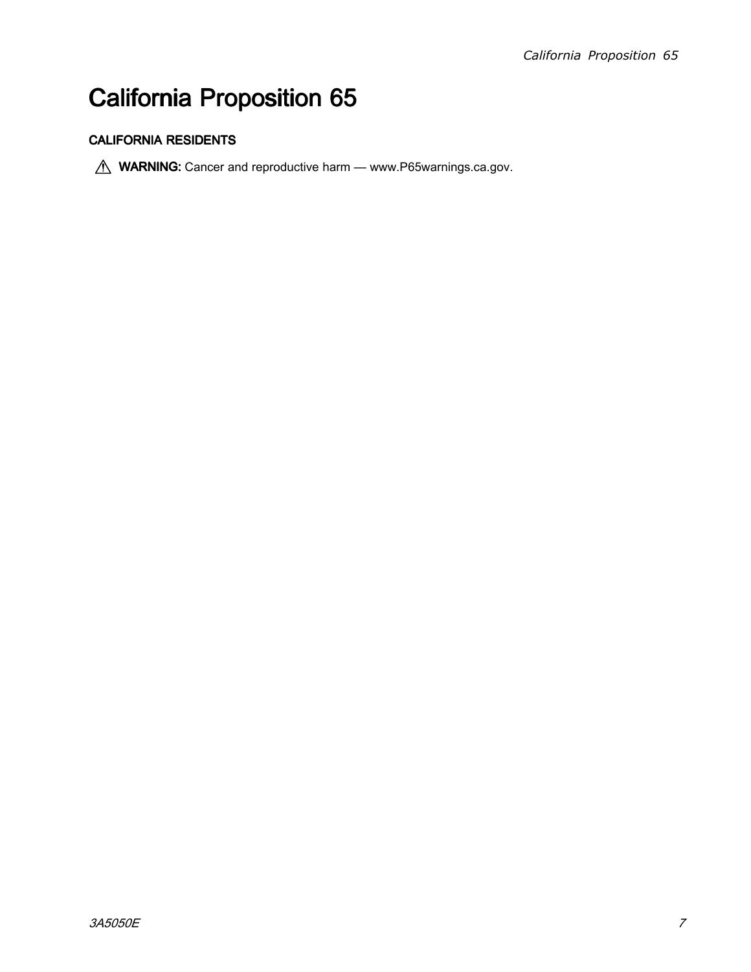# California Proposition 65

### **CALIFORNIA RESIDENTS**

**MARNING:** Cancer and reproductive harm — www.P65warnings.ca.gov.